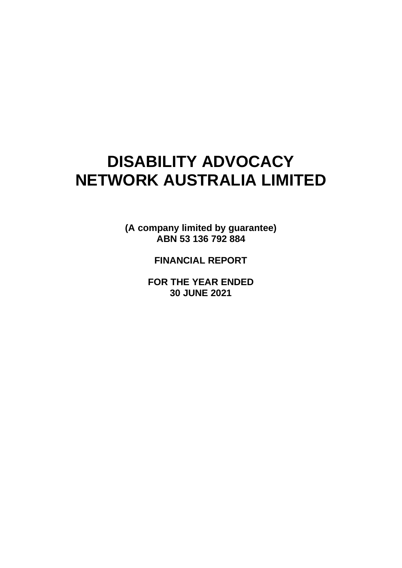# **DISABILITY ADVOCACY NETWORK AUSTRALIA LIMITED**

**(A company limited by guarantee) ABN 53 136 792 884** 

**FINANCIAL REPORT**

**FOR THE YEAR ENDED 30 JUNE 2021**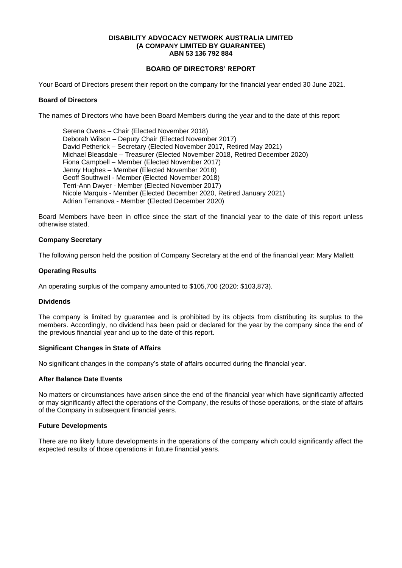# **BOARD OF DIRECTORS' REPORT**

Your Board of Directors present their report on the company for the financial year ended 30 June 2021.

# **Board of Directors**

The names of Directors who have been Board Members during the year and to the date of this report:

Serena Ovens – Chair (Elected November 2018) Deborah Wilson – Deputy Chair (Elected November 2017) David Petherick – Secretary (Elected November 2017, Retired May 2021) Michael Bleasdale – Treasurer (Elected November 2018, Retired December 2020) Fiona Campbell – Member (Elected November 2017) Jenny Hughes – Member (Elected November 2018) Geoff Southwell - Member (Elected November 2018) Terri-Ann Dwyer - Member (Elected November 2017) Nicole Marquis - Member (Elected December 2020, Retired January 2021) Adrian Terranova - Member (Elected December 2020)

Board Members have been in office since the start of the financial year to the date of this report unless otherwise stated.

#### **Company Secretary**

The following person held the position of Company Secretary at the end of the financial year: Mary Mallett

#### **Operating Results**

An operating surplus of the company amounted to \$105,700 (2020: \$103,873).

#### **Dividends**

The company is limited by guarantee and is prohibited by its objects from distributing its surplus to the members. Accordingly, no dividend has been paid or declared for the year by the company since the end of the previous financial year and up to the date of this report.

#### **Significant Changes in State of Affairs**

No significant changes in the company's state of affairs occurred during the financial year.

#### **After Balance Date Events**

No matters or circumstances have arisen since the end of the financial year which have significantly affected or may significantly affect the operations of the Company, the results of those operations, or the state of affairs of the Company in subsequent financial years.

#### **Future Developments**

There are no likely future developments in the operations of the company which could significantly affect the expected results of those operations in future financial years.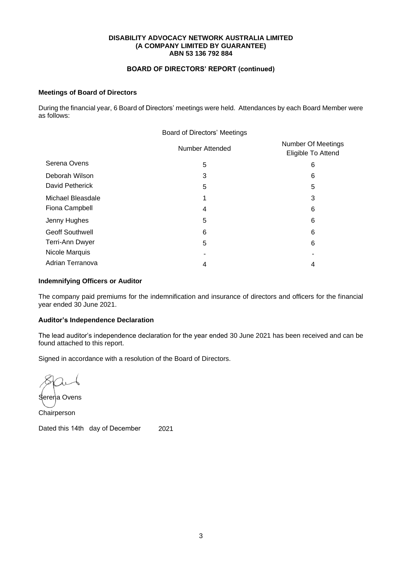# **BOARD OF DIRECTORS' REPORT (continued)**

# **Meetings of Board of Directors**

During the financial year, 6 Board of Directors' meetings were held. Attendances by each Board Member were as follows:

|                        | <b>Board of Directors' Meetings</b> |                                                 |
|------------------------|-------------------------------------|-------------------------------------------------|
|                        | <b>Number Attended</b>              | <b>Number Of Meetings</b><br>Eligible To Attend |
| Serena Ovens           | 5                                   | 6                                               |
| Deborah Wilson         | 3                                   | 6                                               |
| David Petherick        | 5                                   | 5                                               |
| Michael Bleasdale      | 1                                   | 3                                               |
| Fiona Campbell         | 4                                   | 6                                               |
| Jenny Hughes           | 5                                   | 6                                               |
| <b>Geoff Southwell</b> | 6                                   | 6                                               |
| Terri-Ann Dwyer        | 5                                   | 6                                               |
| Nicole Marquis         |                                     |                                                 |
| Adrian Terranova       | 4                                   | 4                                               |

# **Indemnifying Officers or Auditor**

The company paid premiums for the indemnification and insurance of directors and officers for the financial year ended 30 June 2021.

#### **Auditor's Independence Declaration**

The lead auditor's independence declaration for the year ended 30 June 2021 has been received and can be found attached to this report.

Signed in accordance with a resolution of the Board of Directors.

Serena Ovens

Chairperson

Dated this 14th day of December 2021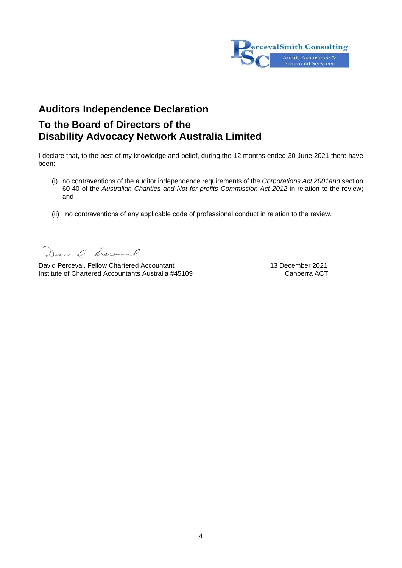

# **Auditors Independence Declaration**

# **To the Board of Directors of the Disability Advocacy Network Australia Limited**

I declare that, to the best of my knowledge and belief, during the 12 months ended 30 June 2021 there have been:

- (i) no contraventions of the auditor independence requirements of the *Corporations Act 2001and* section 60-40 of the *Australian Charities and Not-for-profits Commission Act 2012* in relation to the review; and
- (ii) no contraventions of any applicable code of professional conduct in relation to the review.

Daniel heverl

David Perceval, Fellow Chartered Accountant 13 December 2021<br>Institute of Chartered Accountants Australia #45109 Canberra ACT Institute of Chartered Accountants Australia #45109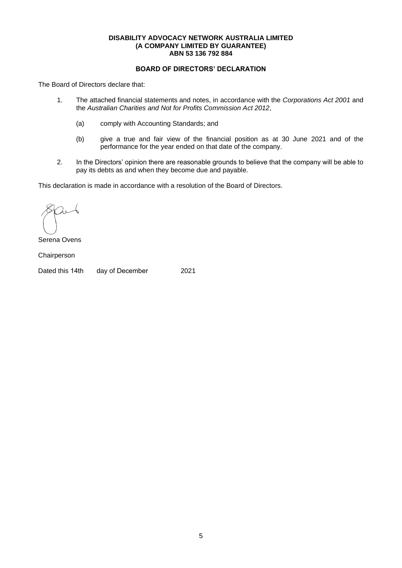# **BOARD OF DIRECTORS' DECLARATION**

The Board of Directors declare that:

- 1. The attached financial statements and notes, in accordance with the *Corporations Act 2001* and the *Australian Charities and Not for Profits Commission Act 2012*,
	- (a) comply with Accounting Standards; and
	- (b) give a true and fair view of the financial position as at 30 June 2021 and of the performance for the year ended on that date of the company.
- 2. In the Directors' opinion there are reasonable grounds to believe that the company will be able to pay its debts as and when they become due and payable.

This declaration is made in accordance with a resolution of the Board of Directors.

Serena Ovens

Chairperson

Dated this 14th day of December 2021

5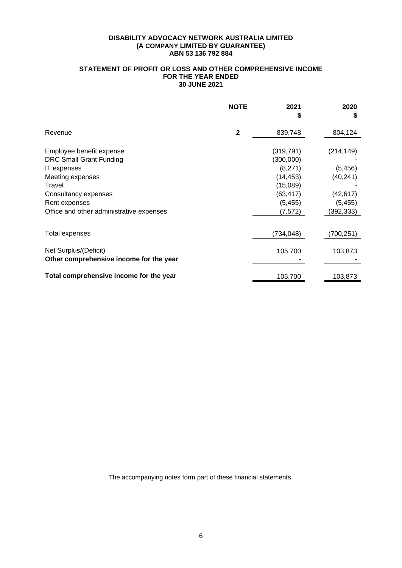# **STATEMENT OF PROFIT OR LOSS AND OTHER COMPREHENSIVE INCOME FOR THE YEAR ENDED 30 JUNE 2021**

|                                                                                                                                                                                              | <b>NOTE</b>  | 2021                                                                                             | 2020<br>S                                                                  |
|----------------------------------------------------------------------------------------------------------------------------------------------------------------------------------------------|--------------|--------------------------------------------------------------------------------------------------|----------------------------------------------------------------------------|
| Revenue                                                                                                                                                                                      | $\mathbf{2}$ | 839,748                                                                                          | 804,124                                                                    |
| Employee benefit expense<br><b>DRC Small Grant Funding</b><br>IT expenses<br>Meeting expenses<br>Travel<br>Consultancy expenses<br>Rent expenses<br>Office and other administrative expenses |              | (319, 791)<br>(300,000)<br>(8,271)<br>(14, 453)<br>(15,089)<br>(63, 417)<br>(5, 455)<br>(7, 572) | (214, 149)<br>(5, 456)<br>(40, 241)<br>(42, 617)<br>(5, 455)<br>(392, 333) |
| Total expenses                                                                                                                                                                               |              | (734, 048)                                                                                       | (700, 251)                                                                 |
| Net Surplus/(Deficit)<br>Other comprehensive income for the year                                                                                                                             |              | 105,700                                                                                          | 103,873                                                                    |
| Total comprehensive income for the year                                                                                                                                                      |              | 105,700                                                                                          | 103,873                                                                    |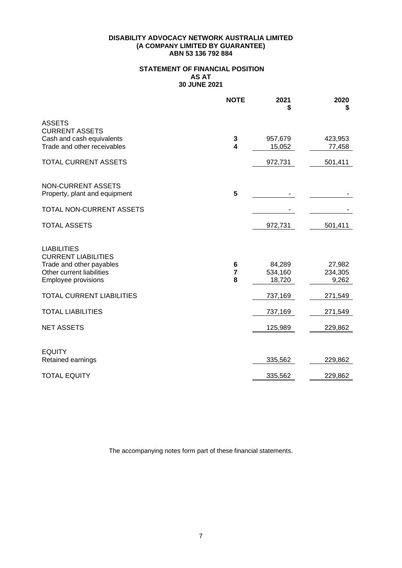# **STATEMENT OF FINANCIAL POSITION AS AT 30 JUNE 2021**

|                                                                                                                                  | <b>NOTE</b>                  | 2021                        | 2020<br>S                  |
|----------------------------------------------------------------------------------------------------------------------------------|------------------------------|-----------------------------|----------------------------|
| <b>ASSETS</b><br><b>CURRENT ASSETS</b><br>Cash and cash equivalents<br>Trade and other receivables                               | 3<br>$\overline{\mathbf{4}}$ | 957,679<br>15,052           | 423,953<br>77,458          |
| <b>TOTAL CURRENT ASSETS</b>                                                                                                      |                              | 972,731                     | 501,411                    |
| <b>NON-CURRENT ASSETS</b><br>Property, plant and equipment                                                                       | 5                            |                             |                            |
| TOTAL NON-CURRENT ASSETS                                                                                                         |                              |                             |                            |
| <b>TOTAL ASSETS</b>                                                                                                              |                              | 972,731                     | 501,411                    |
| <b>LIABILITIES</b><br><b>CURRENT LIABILITIES</b><br>Trade and other payables<br>Other current liabilities<br>Employee provisions | 6<br>$\overline{7}$<br>8     | 84,289<br>534,160<br>18,720 | 27,982<br>234,305<br>9,262 |
| <b>TOTAL CURRENT LIABILITIES</b>                                                                                                 |                              | 737,169                     | 271,549                    |
| <b>TOTAL LIABILITIES</b>                                                                                                         |                              | 737,169                     | 271,549                    |
| <b>NET ASSETS</b>                                                                                                                |                              | 125,989                     | 229,862                    |
| <b>EQUITY</b><br>Retained earnings                                                                                               |                              | 335,562                     | 229,862                    |
| <b>TOTAL EQUITY</b>                                                                                                              |                              | 335,562                     | 229,862                    |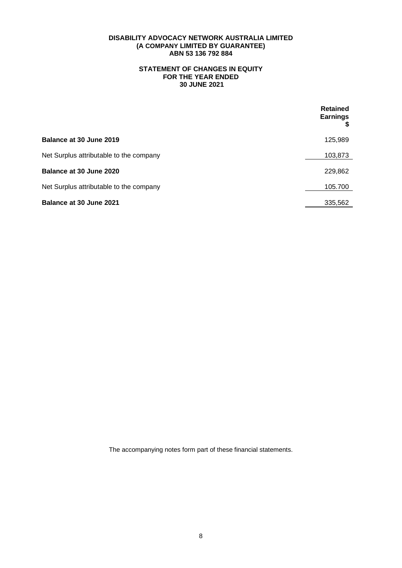# **STATEMENT OF CHANGES IN EQUITY FOR THE YEAR ENDED 30 JUNE 2021**

|                                         | <b>Retained</b><br><b>Earnings</b> |
|-----------------------------------------|------------------------------------|
| Balance at 30 June 2019                 | 125,989                            |
| Net Surplus attributable to the company | 103,873                            |
| Balance at 30 June 2020                 | 229,862                            |
| Net Surplus attributable to the company | 105.700                            |
| <b>Balance at 30 June 2021</b>          | 335,562                            |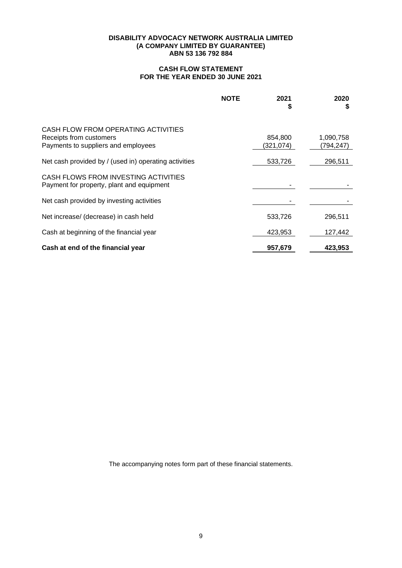# **CASH FLOW STATEMENT FOR THE YEAR ENDED 30 JUNE 2021**

|                                                                                                       | <b>NOTE</b> | 2021<br>S            | 2020<br>\$             |
|-------------------------------------------------------------------------------------------------------|-------------|----------------------|------------------------|
| CASH FLOW FROM OPERATING ACTIVITIES<br>Receipts from customers<br>Payments to suppliers and employees |             | 854,800<br>(321,074) | 1,090,758<br>(794,247) |
| Net cash provided by / (used in) operating activities                                                 |             | 533,726              | 296,511                |
| CASH FLOWS FROM INVESTING ACTIVITIES<br>Payment for property, plant and equipment                     |             |                      |                        |
| Net cash provided by investing activities                                                             |             |                      |                        |
| Net increase/ (decrease) in cash held                                                                 |             | 533,726              | 296,511                |
| Cash at beginning of the financial year                                                               |             | 423,953              | 127,442                |
| Cash at end of the financial year                                                                     |             | 957,679              | 423,953                |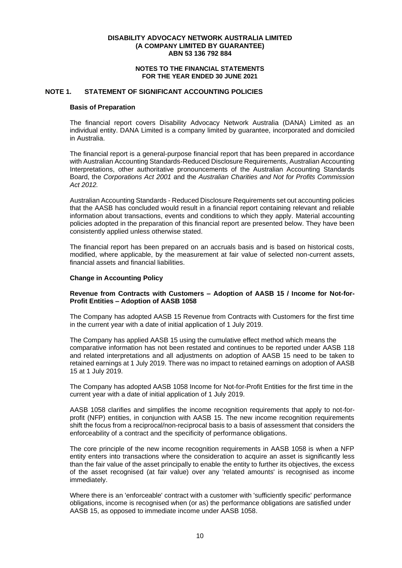#### **NOTES TO THE FINANCIAL STATEMENTS FOR THE YEAR ENDED 30 JUNE 2021**

# **NOTE 1. STATEMENT OF SIGNIFICANT ACCOUNTING POLICIES**

#### **Basis of Preparation**

The financial report covers Disability Advocacy Network Australia (DANA) Limited as an individual entity. DANA Limited is a company limited by guarantee, incorporated and domiciled in Australia.

The financial report is a general-purpose financial report that has been prepared in accordance with Australian Accounting Standards-Reduced Disclosure Requirements, Australian Accounting Interpretations, other authoritative pronouncements of the Australian Accounting Standards Board, the *Corporations Act 2001* and the *Australian Charities and Not for Profits Commission Act 2012.*

Australian Accounting Standards - Reduced Disclosure Requirements set out accounting policies that the AASB has concluded would result in a financial report containing relevant and reliable information about transactions, events and conditions to which they apply. Material accounting policies adopted in the preparation of this financial report are presented below. They have been consistently applied unless otherwise stated.

The financial report has been prepared on an accruals basis and is based on historical costs, modified, where applicable, by the measurement at fair value of selected non-current assets, financial assets and financial liabilities.

#### **Change in Accounting Policy**

# **Revenue from Contracts with Customers – Adoption of AASB 15 / Income for Not-for-Profit Entities – Adoption of AASB 1058**

The Company has adopted AASB 15 Revenue from Contracts with Customers for the first time in the current year with a date of initial application of 1 July 2019.

The Company has applied AASB 15 using the cumulative effect method which means the comparative information has not been restated and continues to be reported under AASB 118 and related interpretations and all adjustments on adoption of AASB 15 need to be taken to retained earnings at 1 July 2019. There was no impact to retained earnings on adoption of AASB 15 at 1 July 2019.

The Company has adopted AASB 1058 Income for Not-for-Profit Entities for the first time in the current year with a date of initial application of 1 July 2019.

AASB 1058 clarifies and simplifies the income recognition requirements that apply to not-forprofit (NFP) entities, in conjunction with AASB 15. The new income recognition requirements shift the focus from a reciprocal/non-reciprocal basis to a basis of assessment that considers the enforceability of a contract and the specificity of performance obligations.

The core principle of the new income recognition requirements in AASB 1058 is when a NFP entity enters into transactions where the consideration to acquire an asset is significantly less than the fair value of the asset principally to enable the entity to further its objectives, the excess of the asset recognised (at fair value) over any 'related amounts' is recognised as income immediately.

Where there is an 'enforceable' contract with a customer with 'sufficiently specific' performance obligations, income is recognised when (or as) the performance obligations are satisfied under AASB 15, as opposed to immediate income under AASB 1058.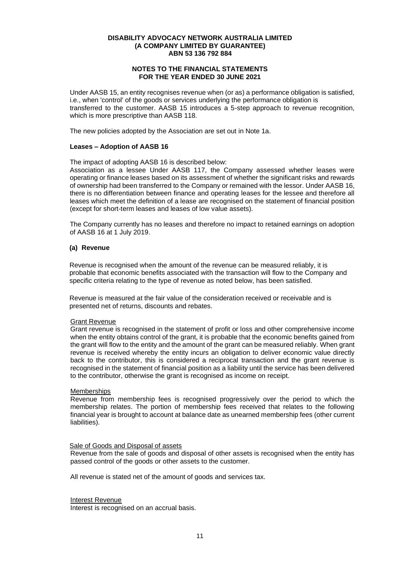# **NOTES TO THE FINANCIAL STATEMENTS FOR THE YEAR ENDED 30 JUNE 2021**

Under AASB 15, an entity recognises revenue when (or as) a performance obligation is satisfied, i.e., when 'control' of the goods or services underlying the performance obligation is transferred to the customer. AASB 15 introduces a 5-step approach to revenue recognition, which is more prescriptive than AASB 118.

The new policies adopted by the Association are set out in Note 1a.

#### **Leases – Adoption of AASB 16**

The impact of adopting AASB 16 is described below:

Association as a lessee Under AASB 117, the Company assessed whether leases were operating or finance leases based on its assessment of whether the significant risks and rewards of ownership had been transferred to the Company or remained with the lessor. Under AASB 16, there is no differentiation between finance and operating leases for the lessee and therefore all leases which meet the definition of a lease are recognised on the statement of financial position (except for short-term leases and leases of low value assets).

The Company currently has no leases and therefore no impact to retained earnings on adoption of AASB 16 at 1 July 2019.

#### **(a) Revenue**

Revenue is recognised when the amount of the revenue can be measured reliably, it is probable that economic benefits associated with the transaction will flow to the Company and specific criteria relating to the type of revenue as noted below, has been satisfied.

Revenue is measured at the fair value of the consideration received or receivable and is presented net of returns, discounts and rebates.

# Grant Revenue

Grant revenue is recognised in the statement of profit or loss and other comprehensive income when the entity obtains control of the grant, it is probable that the economic benefits gained from the grant will flow to the entity and the amount of the grant can be measured reliably. When grant revenue is received whereby the entity incurs an obligation to deliver economic value directly back to the contributor, this is considered a reciprocal transaction and the grant revenue is recognised in the statement of financial position as a liability until the service has been delivered to the contributor, otherwise the grant is recognised as income on receipt.

#### **Memberships**

Revenue from membership fees is recognised progressively over the period to which the membership relates. The portion of membership fees received that relates to the following financial year is brought to account at balance date as unearned membership fees (other current liabilities).

#### Sale of Goods and Disposal of assets

Revenue from the sale of goods and disposal of other assets is recognised when the entity has passed control of the goods or other assets to the customer.

All revenue is stated net of the amount of goods and services tax.

Interest Revenue

Interest is recognised on an accrual basis.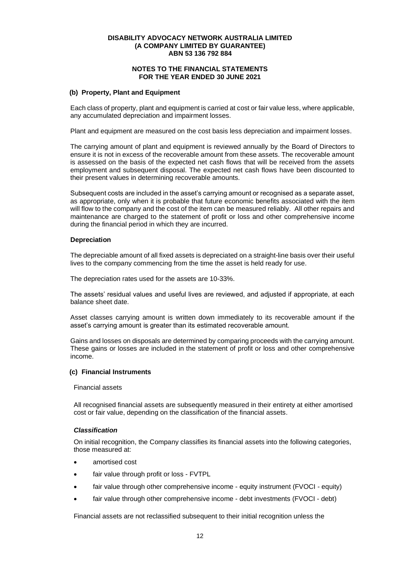# **NOTES TO THE FINANCIAL STATEMENTS FOR THE YEAR ENDED 30 JUNE 2021**

#### **(b) Property, Plant and Equipment**

Each class of property, plant and equipment is carried at cost or fair value less, where applicable, any accumulated depreciation and impairment losses.

Plant and equipment are measured on the cost basis less depreciation and impairment losses.

The carrying amount of plant and equipment is reviewed annually by the Board of Directors to ensure it is not in excess of the recoverable amount from these assets. The recoverable amount is assessed on the basis of the expected net cash flows that will be received from the assets employment and subsequent disposal. The expected net cash flows have been discounted to their present values in determining recoverable amounts.

Subsequent costs are included in the asset's carrying amount or recognised as a separate asset, as appropriate, only when it is probable that future economic benefits associated with the item will flow to the company and the cost of the item can be measured reliably. All other repairs and maintenance are charged to the statement of profit or loss and other comprehensive income during the financial period in which they are incurred.

#### **Depreciation**

The depreciable amount of all fixed assets is depreciated on a straight-line basis over their useful lives to the company commencing from the time the asset is held ready for use.

The depreciation rates used for the assets are 10-33%.

The assets' residual values and useful lives are reviewed, and adjusted if appropriate, at each balance sheet date.

Asset classes carrying amount is written down immediately to its recoverable amount if the asset's carrying amount is greater than its estimated recoverable amount.

Gains and losses on disposals are determined by comparing proceeds with the carrying amount. These gains or losses are included in the statement of profit or loss and other comprehensive income.

#### **(c) Financial Instruments**

Financial assets

All recognised financial assets are subsequently measured in their entirety at either amortised cost or fair value, depending on the classification of the financial assets.

#### *Classification*

On initial recognition, the Company classifies its financial assets into the following categories, those measured at:

- amortised cost
- fair value through profit or loss FVTPL
- fair value through other comprehensive income equity instrument (FVOCI equity)
- fair value through other comprehensive income debt investments (FVOCI debt)

Financial assets are not reclassified subsequent to their initial recognition unless the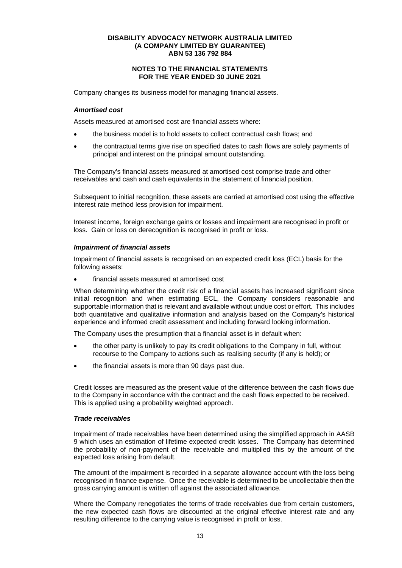# **NOTES TO THE FINANCIAL STATEMENTS FOR THE YEAR ENDED 30 JUNE 2021**

Company changes its business model for managing financial assets.

#### *Amortised cost*

Assets measured at amortised cost are financial assets where:

- the business model is to hold assets to collect contractual cash flows; and
- the contractual terms give rise on specified dates to cash flows are solely payments of principal and interest on the principal amount outstanding.

The Company's financial assets measured at amortised cost comprise trade and other receivables and cash and cash equivalents in the statement of financial position.

Subsequent to initial recognition, these assets are carried at amortised cost using the effective interest rate method less provision for impairment.

Interest income, foreign exchange gains or losses and impairment are recognised in profit or loss. Gain or loss on derecognition is recognised in profit or loss.

#### *Impairment of financial assets*

Impairment of financial assets is recognised on an expected credit loss (ECL) basis for the following assets:

• financial assets measured at amortised cost

When determining whether the credit risk of a financial assets has increased significant since initial recognition and when estimating ECL, the Company considers reasonable and supportable information that is relevant and available without undue cost or effort. This includes both quantitative and qualitative information and analysis based on the Company's historical experience and informed credit assessment and including forward looking information.

The Company uses the presumption that a financial asset is in default when:

- the other party is unlikely to pay its credit obligations to the Company in full, without recourse to the Company to actions such as realising security (if any is held); or
- the financial assets is more than 90 days past due.

Credit losses are measured as the present value of the difference between the cash flows due to the Company in accordance with the contract and the cash flows expected to be received. This is applied using a probability weighted approach.

#### *Trade receivables*

Impairment of trade receivables have been determined using the simplified approach in AASB 9 which uses an estimation of lifetime expected credit losses. The Company has determined the probability of non-payment of the receivable and multiplied this by the amount of the expected loss arising from default.

The amount of the impairment is recorded in a separate allowance account with the loss being recognised in finance expense. Once the receivable is determined to be uncollectable then the gross carrying amount is written off against the associated allowance.

Where the Company renegotiates the terms of trade receivables due from certain customers, the new expected cash flows are discounted at the original effective interest rate and any resulting difference to the carrying value is recognised in profit or loss.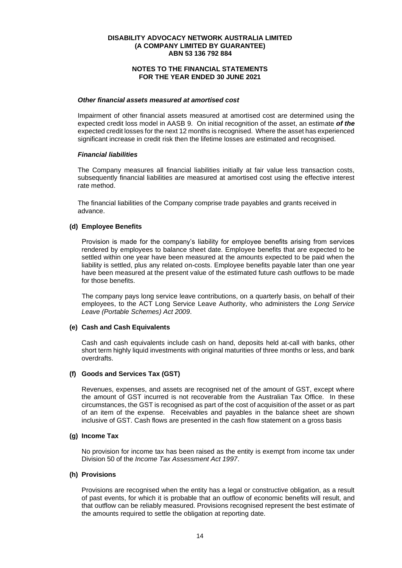# **NOTES TO THE FINANCIAL STATEMENTS FOR THE YEAR ENDED 30 JUNE 2021**

#### *Other financial assets measured at amortised cost*

Impairment of other financial assets measured at amortised cost are determined using the expected credit loss model in AASB 9. On initial recognition of the asset, an estimate *of the* expected credit losses for the next 12 months is recognised. Where the asset has experienced significant increase in credit risk then the lifetime losses are estimated and recognised.

#### *Financial liabilities*

The Company measures all financial liabilities initially at fair value less transaction costs, subsequently financial liabilities are measured at amortised cost using the effective interest rate method.

The financial liabilities of the Company comprise trade payables and grants received in advance.

#### **(d) Employee Benefits**

Provision is made for the company's liability for employee benefits arising from services rendered by employees to balance sheet date. Employee benefits that are expected to be settled within one year have been measured at the amounts expected to be paid when the liability is settled, plus any related on-costs. Employee benefits payable later than one year have been measured at the present value of the estimated future cash outflows to be made for those benefits.

The company pays long service leave contributions, on a quarterly basis, on behalf of their employees, to the ACT Long Service Leave Authority, who administers the *Long Service Leave (Portable Schemes) Act 2009*.

#### **(e) Cash and Cash Equivalents**

Cash and cash equivalents include cash on hand, deposits held at-call with banks, other short term highly liquid investments with original maturities of three months or less, and bank overdrafts.

# **(f) Goods and Services Tax (GST)**

Revenues, expenses, and assets are recognised net of the amount of GST, except where the amount of GST incurred is not recoverable from the Australian Tax Office. In these circumstances, the GST is recognised as part of the cost of acquisition of the asset or as part of an item of the expense. Receivables and payables in the balance sheet are shown inclusive of GST. Cash flows are presented in the cash flow statement on a gross basis

#### **(g) Income Tax**

No provision for income tax has been raised as the entity is exempt from income tax under Division 50 of the *Income Tax Assessment Act 1997*.

#### **(h) Provisions**

Provisions are recognised when the entity has a legal or constructive obligation, as a result of past events, for which it is probable that an outflow of economic benefits will result, and that outflow can be reliably measured. Provisions recognised represent the best estimate of the amounts required to settle the obligation at reporting date.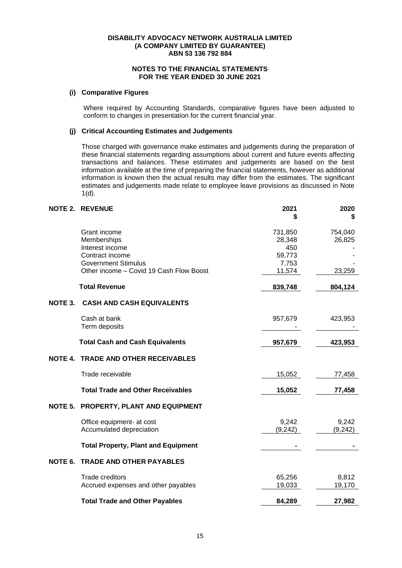# **NOTES TO THE FINANCIAL STATEMENTS FOR THE YEAR ENDED 30 JUNE 2021**

# **(i) Comparative Figures**

Where required by Accounting Standards, comparative figures have been adjusted to conform to changes in presentation for the current financial year.

# **(j) Critical Accounting Estimates and Judgements**

Those charged with governance make estimates and judgements during the preparation of these financial statements regarding assumptions about current and future events affecting transactions and balances. These estimates and judgements are based on the best information available at the time of preparing the financial statements, however as additional information is known then the actual results may differ from the estimates. The significant estimates and judgements made relate to employee leave provisions as discussed in Note  $1(d)$ .

|                | <b>NOTE 2. REVENUE</b>                     | 2021     | 2020     |
|----------------|--------------------------------------------|----------|----------|
|                |                                            | S        | \$       |
|                | Grant income                               | 731,850  | 754,040  |
|                | Memberships                                | 28,348   | 26,825   |
|                | Interest income                            | 450      |          |
|                | Contract income                            | 59,773   |          |
|                | <b>Government Stimulus</b>                 | 7,753    |          |
|                | Other income - Covid 19 Cash Flow Boost    | 11,574   | 23,259   |
|                | <b>Total Revenue</b>                       | 839,748  | 804,124  |
| NOTE 3.        | <b>CASH AND CASH EQUIVALENTS</b>           |          |          |
|                | Cash at bank                               | 957,679  | 423,953  |
|                | Term deposits                              |          |          |
|                | <b>Total Cash and Cash Equivalents</b>     | 957,679  | 423,953  |
| <b>NOTE 4.</b> | <b>TRADE AND OTHER RECEIVABLES</b>         |          |          |
|                | Trade receivable                           | 15,052   | 77,458   |
|                | <b>Total Trade and Other Receivables</b>   | 15,052   | 77,458   |
| NOTE 5.        | PROPERTY, PLANT AND EQUIPMENT              |          |          |
|                | Office equipment- at cost                  | 9,242    | 9,242    |
|                | Accumulated depreciation                   | (9, 242) | (9, 242) |
|                | <b>Total Property, Plant and Equipment</b> |          |          |
| NOTE 6.        | <b>TRADE AND OTHER PAYABLES</b>            |          |          |
|                | <b>Trade creditors</b>                     | 65,256   | 8,812    |
|                | Accrued expenses and other payables        | 19,033   | 19,170   |
|                | <b>Total Trade and Other Payables</b>      | 84,289   | 27,982   |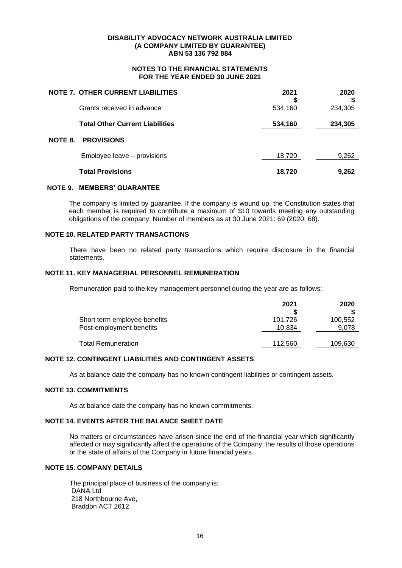# **NOTES TO THE FINANCIAL STATEMENTS FOR THE YEAR ENDED 30 JUNE 2021**

|         | <b>NOTE 7. OTHER CURRENT LIABILITIES</b> | 2021    | 2020    |
|---------|------------------------------------------|---------|---------|
|         | Grants received in advance               | 534,160 | 234,305 |
|         | <b>Total Other Current Liabilities</b>   | 534,160 | 234,305 |
| NOTE 8. | <b>PROVISIONS</b>                        |         |         |
|         | Employee leave - provisions              | 18,720  | 9,262   |
|         | <b>Total Provisions</b>                  | 18,720  | 9,262   |

#### **NOTE 9. MEMBERS' GUARANTEE**

The company is limited by guarantee. If the company is wound up, the Constitution states that each member is required to contribute a maximum of \$10 towards meeting any outstanding obligations of the company. Number of members as at 30 June 2021: 69 (2020: 68).

#### **NOTE 10. RELATED PARTY TRANSACTIONS**

There have been no related party transactions which require disclosure in the financial statements.

#### **NOTE 11. KEY MANAGERIAL PERSONNEL REMUNERATION**

Remuneration paid to the key management personnel during the year are as follows:

|                                                          | 2021              | 2020             |
|----------------------------------------------------------|-------------------|------------------|
| Short term employee benefits<br>Post-employment benefits | 101.726<br>10.834 | 100,552<br>9.078 |
| <b>Total Remuneration</b>                                | 112,560           | 109,630          |

# **NOTE 12. CONTINGENT LIABILITIES AND CONTINGENT ASSETS**

As at balance date the company has no known contingent liabilities or contingent assets.

# **NOTE 13. COMMITMENTS**

As at balance date the company has no known commitments.

# **NOTE 14. EVENTS AFTER THE BALANCE SHEET DATE**

No matters or circumstances have arisen since the end of the financial year which significantly affected or may significantly affect the operations of the Company, the results of those operations or the state of affairs of the Company in future financial years.

# **NOTE 15. COMPANY DETAILS**

The principal place of business of the company is: DANA Ltd 218 Northbourne Ave, Braddon ACT 2612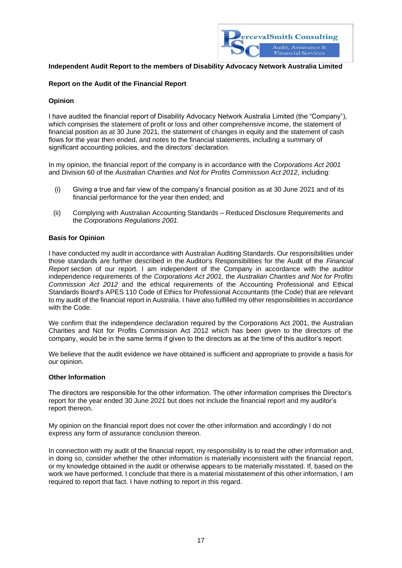

# **Independent Audit Report to the members of Disability Advocacy Network Australia Limited**

# **Report on the Audit of the Financial Report**

# **Opinion**

I have audited the financial report of Disability Advocacy Network Australia Limited (the "Company"), which comprises the statement of profit or loss and other comprehensive income, the statement of financial position as at 30 June 2021, the statement of changes in equity and the statement of cash flows for the year then ended, and notes to the financial statements, including a summary of significant accounting policies, and the directors' declaration.

In my opinion, the financial report of the company is in accordance with the *Corporations Act 2001* and Division 60 of the *Australian Charities and Not for Profits Commission Act 2012*, including:

- (i) Giving a true and fair view of the company's financial position as at 30 June 2021 and of its financial performance for the year then ended; and
- (ii) Complying with Australian Accounting Standards Reduced Disclosure Requirements and the *Corporations Regulations 2001.*

# **Basis for Opinion**

I have conducted my audit in accordance with Australian Auditing Standards. Our responsibilities under those standards are further described in the Auditor's Responsibilities for the Audit of the *Financial Report* section of our report. I am independent of the Company in accordance with the auditor independence requirements of the *Corporations Act 2001,* the *Australian Charities and Not for Profits Commission Act 2012* and the ethical requirements of the Accounting Professional and Ethical Standards Board's APES 110 Code of Ethics for Professional Accountants (the Code) that are relevant to my audit of the financial report in Australia. I have also fulfilled my other responsibilities in accordance with the Code.

We confirm that the independence declaration required by the Corporations Act 2001, the Australian Charities and Not for Profits Commission Act 2012 which has been given to the directors of the company, would be in the same terms if given to the directors as at the time of this auditor's report.

We believe that the audit evidence we have obtained is sufficient and appropriate to provide a basis for our opinion.

#### **Other Information**

The directors are responsible for the other information. The other information comprises the Director's report for the year ended 30 June 2021 but does not include the financial report and my auditor's report thereon.

My opinion on the financial report does not cover the other information and accordingly I do not express any form of assurance conclusion thereon.

In connection with my audit of the financial report, my responsibility is to read the other information and, in doing so, consider whether the other information is materially inconsistent with the financial report, or my knowledge obtained in the audit or otherwise appears to be materially misstated. If, based on the work we have performed, I conclude that there is a material misstatement of this other information, I am required to report that fact. I have nothing to report in this regard.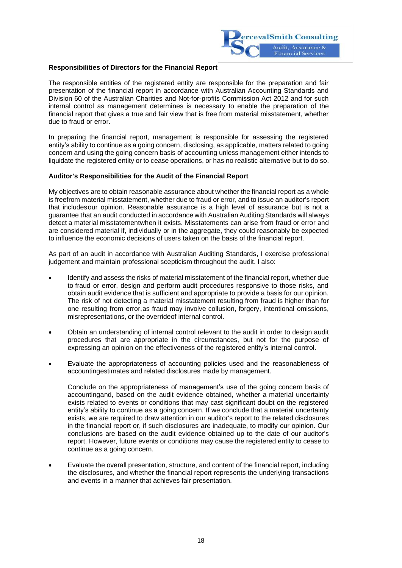

# **Responsibilities of Directors for the Financial Report**

The responsible entities of the registered entity are responsible for the preparation and fair presentation of the financial report in accordance with Australian Accounting Standards and Division 60 of the Australian Charities and Not-for-profits Commission Act 2012 and for such internal control as management determines is necessary to enable the preparation of the financial report that gives a true and fair view that is free from material misstatement, whether due to fraud or error.

In preparing the financial report, management is responsible for assessing the registered entity's ability to continue as a going concern, disclosing, as applicable, matters related to going concern and using the going concern basis of accounting unless management either intends to liquidate the registered entity or to cease operations, or has no realistic alternative but to do so.

#### **Auditor's Responsibilities for the Audit of the Financial Report**

My objectives are to obtain reasonable assurance about whether the financial report as a whole is freefrom material misstatement, whether due to fraud or error, and to issue an auditor's report that includesour opinion. Reasonable assurance is a high level of assurance but is not a guarantee that an audit conducted inaccordance with Australian Auditing Standards willalways detect a material misstatementwhen it exists. Misstatements can arise from fraud or error and are considered material if, individually or in the aggregate, they could reasonably be expected to influence the economic decisions of users taken on the basis of the financial report.

As part of an audit in accordance with Australian Auditing Standards, I exercise professional judgement and maintain professional scepticism throughout the audit. I also:

- Identify and assess the risks of material misstatement of the financial report, whether due to fraud or error, design and perform audit procedures responsive to those risks, and obtain audit evidence that is sufficient and appropriate to provide a basis for our opinion. The risk of not detecting a material misstatement resulting from fraud is higher than for one resulting from error,as fraud may involve collusion, forgery, intentional omissions, misrepresentations, or the overrideof internal control.
- Obtain an understanding of internal control relevant to the audit in order to design audit procedures that are appropriate in the circumstances, but not for the purpose of expressing an opinion on the effectiveness of the registered entity's internal control.
- Evaluate the appropriateness of accounting policies used and the reasonableness of accountingestimates and related disclosures made by management.

Conclude on the appropriateness of management's use of the going concern basis of accountingand, based on the audit evidence obtained, whether a material uncertainty exists related to events or conditions that may cast significant doubt on the registered entity's ability to continue as a going concern. If we conclude that a material uncertainty exists, we are required to draw attention in our auditor's report to the related disclosures in the financial report or, if such disclosures are inadequate, to modify our opinion. Our conclusions are based on the audit evidence obtained up to the date of our auditor's report. However, future events or conditions may cause the registered entity to cease to continue as a going concern.

• Evaluate the overall presentation, structure, and content of the financial report, including the disclosures, and whether the financial report represents the underlying transactions and events in a manner that achieves fair presentation.